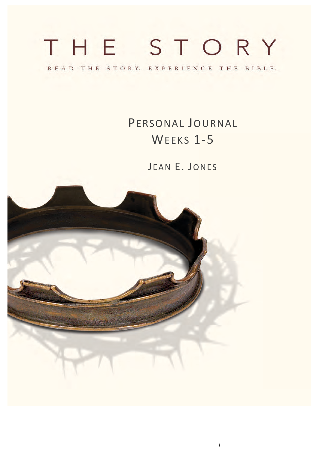# THE STORY

READ THE STORY. EXPERIENCE THE BIBLE.

PERSONAL JOURNAL WEEKS 1-5

JEAN E. JONES

*l*

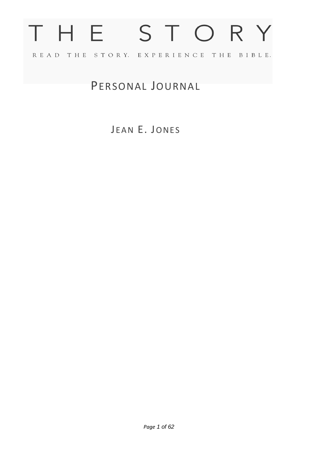### HE STORY T

READ THE STORY. EXPERIENCE THE BIBLE.

#### PERSONAL JOURNAL

JEAN E. JONES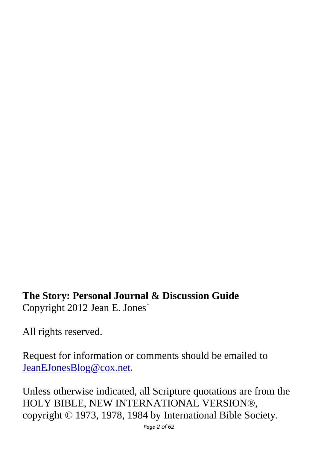**The Story: Personal Journal & Discussion Guide** Copyright 2012 Jean E. Jones`

All rights reserved.

Request for information or comments should be emailed to [JeanEJonesBlog@cox.net.](mailto:JeanEJonesBlog@cox.net)

Unless otherwise indicated, all Scripture quotations are from the HOLY BIBLE, NEW INTERNATIONAL VERSION®, copyright © 1973, 1978, 1984 by International Bible Society.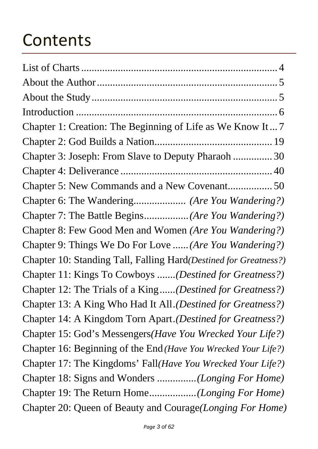## Contents

| Chapter 1: Creation: The Beginning of Life as We Know It 7              |
|-------------------------------------------------------------------------|
|                                                                         |
| Chapter 3: Joseph: From Slave to Deputy Pharaoh 30                      |
|                                                                         |
|                                                                         |
|                                                                         |
|                                                                         |
| Chapter 8: Few Good Men and Women (Are You Wandering?)                  |
| Chapter 9: Things We Do For Love  (Are You Wandering?)                  |
| Chapter 10: Standing Tall, Falling Hard(Destined for Greatness?)        |
| Chapter 11: Kings To Cowboys (Destined for Greatness?)                  |
| Chapter 12: The Trials of a King(Destined for Greatness?)               |
| Chapter 13: A King Who Had It All. (Destined for Greatness?)            |
| Chapter 14: A Kingdom Torn Apart. (Destined for Greatness?)             |
| Chapter 15: God's Messengers (Have You Wrecked Your Life?)              |
| Chapter 16: Beginning of the End ( <i>Have You Wrecked Your Life?</i> ) |
| Chapter 17: The Kingdoms' Fall( <i>Have You Wrecked Your Life?</i> )    |
|                                                                         |
|                                                                         |
| Chapter 20: Queen of Beauty and Courage (Longing For Home)              |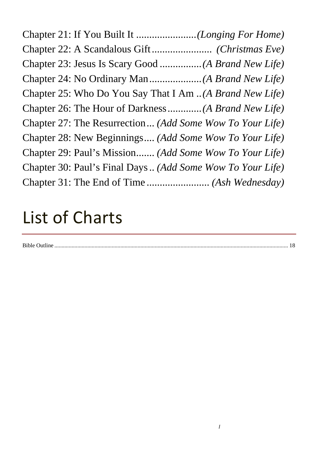| Chapter 23: Jesus Is Scary Good  (A Brand New Life)       |
|-----------------------------------------------------------|
|                                                           |
| Chapter 25: Who Do You Say That I Am (A Brand New Life)   |
|                                                           |
| Chapter 27: The Resurrection (Add Some Wow To Your Life)  |
| Chapter 28: New Beginnings (Add Some Wow To Your Life)    |
| Chapter 29: Paul's Mission (Add Some Wow To Your Life)    |
| Chapter 30: Paul's Final Days (Add Some Wow To Your Life) |
|                                                           |

## <span id="page-4-0"></span>List of Charts

Bible Outline ................................................................................................................................................................... 18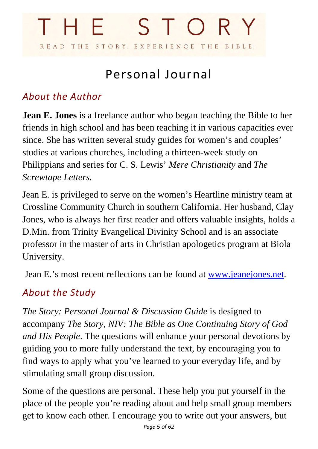#### STORY THE READ THE STORY. EXPERIENCE THE BIBLE.

### Personal Journal

#### <span id="page-5-0"></span>*About the Author*

**Jean E. Jones** is a freelance author who began teaching the Bible to her friends in high school and has been teaching it in various capacities ever since. She has written several study guides for women's and couples' studies at various churches, including a thirteen-week study on Philippians and series for C. S. Lewis' *Mere Christianity* and *The Screwtape Letters.*

Jean E. is privileged to serve on the women's Heartline ministry team at Crossline Community Church in southern California. Her husband, Clay Jones, who is always her first reader and offers valuable insights, holds a D.Min. from Trinity Evangelical Divinity School and is an associate professor in the master of arts in Christian apologetics program at Biola University.

Jean E.'s most recent reflections can be found at [www.jeanejones.net.](http://www.jeanejones.net/)

#### <span id="page-5-1"></span>*About the Study*

*The Story: Personal Journal & Discussion Guide* is designed to accompany *The Story, NIV: The Bible as One Continuing Story of God and His People*. The questions will enhance your personal devotions by guiding you to more fully understand the text, by encouraging you to find ways to apply what you've learned to your everyday life, and by stimulating small group discussion.

Some of the questions are personal. These help you put yourself in the place of the people you're reading about and help small group members get to know each other. I encourage you to write out your answers, but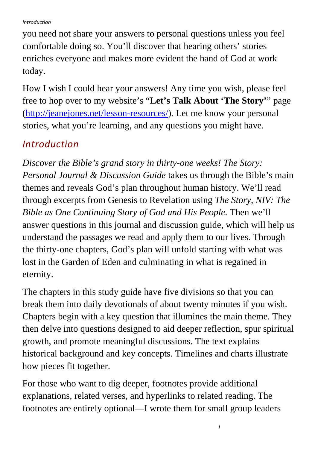*Introduction*

you need not share your answers to personal questions unless you feel comfortable doing so. You'll discover that hearing others' stories enriches everyone and makes more evident the hand of God at work today.

How I wish I could hear your answers! Any time you wish, please feel free to hop over to my website's "**Let's Talk About 'The Story'**" page [\(http://jeanejones.net/lesson-resources/\)](http://jeanejones.net/lesson-resources/). Let me know your personal stories, what you're learning, and any questions you might have.

#### <span id="page-6-0"></span>*Introduction*

*Discover the Bible's grand story in thirty-one weeks! The Story: Personal Journal & Discussion Guide* takes us through the Bible's main themes and reveals God's plan throughout human history. We'll read through excerpts from Genesis to Revelation using *The Story, NIV: The Bible as One Continuing Story of God and His People.* Then we'll answer questions in this journal and discussion guide, which will help us understand the passages we read and apply them to our lives. Through the thirty-one chapters, God's plan will unfold starting with what was lost in the Garden of Eden and culminating in what is regained in eternity.

The chapters in this study guide have five divisions so that you can break them into daily devotionals of about twenty minutes if you wish. Chapters begin with a key question that illumines the main theme. They then delve into questions designed to aid deeper reflection, spur spiritual growth, and promote meaningful discussions. The text explains historical background and key concepts. Timelines and charts illustrate how pieces fit together.

For those who want to dig deeper, footnotes provide additional explanations, related verses, and hyperlinks to related reading. The footnotes are entirely optional—I wrote them for small group leaders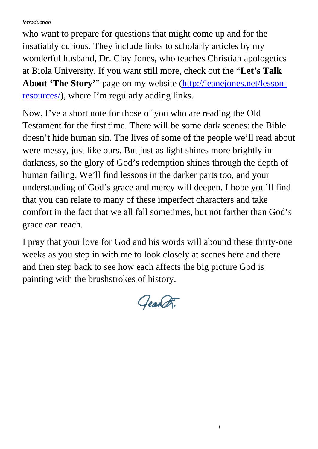*Introduction*

who want to prepare for questions that might come up and for the insatiably curious. They include links to scholarly articles by my wonderful husband, Dr. Clay Jones, who teaches Christian apologetics at Biola University. If you want still more, check out the "**Let's Talk About 'The Story'**" page on my website [\(http://jeanejones.net/lesson](http://jeanejones.net/lesson-resources/)[resources/\)](http://jeanejones.net/lesson-resources/), where I'm regularly adding links.

Now, I've a short note for those of you who are reading the Old Testament for the first time. There will be some dark scenes: the Bible doesn't hide human sin. The lives of some of the people we'll read about were messy, just like ours. But just as light shines more brightly in darkness, so the glory of God's redemption shines through the depth of human failing. We'll find lessons in the darker parts too, and your understanding of God's grace and mercy will deepen. I hope you'll find that you can relate to many of these imperfect characters and take comfort in the fact that we all fall sometimes, but not farther than God's grace can reach.

I pray that your love for God and his words will abound these thirty-one weeks as you step in with me to look closely at scenes here and there and then step back to see how each affects the big picture God is painting with the brushstrokes of history.

Geart.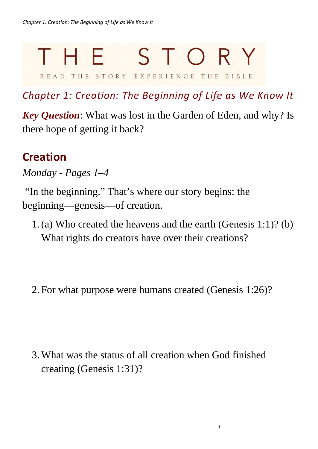## <span id="page-8-0"></span>THE STORY READ THE STORY. EXPERIENCE THE BIBLE.

*Chapter 1: Creation: The Beginning of Life as We Know It*

*Key Question*: What was lost in the Garden of Eden, and why? Is there hope of getting it back?

### **Creation**

*Monday - Pages 1–4* 

"In the beginning." That's where our story begins: the beginning—genesis—of creation.

- 1.(a) Who created the heavens and the earth (Genesis 1:1)? (b) What rights do creators have over their creations?
- 2. For what purpose were humans created (Genesis 1:26)?

3.What was the status of all creation when God finished creating (Genesis 1:31)?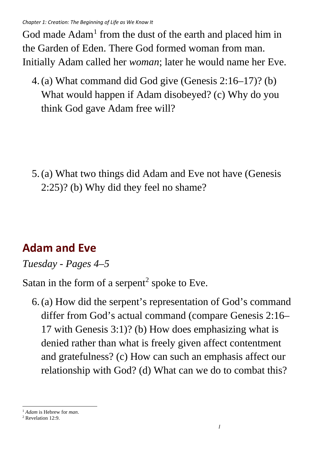God made Adam<sup>[1](#page-9-0)</sup> from the dust of the earth and placed him in the Garden of Eden. There God formed woman from man. Initially Adam called her *woman*; later he would name her Eve.

4.(a) What command did God give (Genesis 2:16–17)? (b) What would happen if Adam disobeyed? (c) Why do you think God gave Adam free will?

5.(a) What two things did Adam and Eve not have (Genesis 2:25)? (b) Why did they feel no shame?

### **Adam and Eve**

#### *Tuesday - Pages 4–5*

Satan in the form of a serpent<sup>[2](#page-9-1)</sup> spoke to Eve.

6.(a) How did the serpent's representation of God's command differ from God's actual command (compare Genesis 2:16– 17 with Genesis 3:1)? (b) How does emphasizing what is denied rather than what is freely given affect contentment and gratefulness? (c) How can such an emphasis affect our relationship with God? (d) What can we do to combat this?

<span id="page-9-0"></span><sup>&</sup>lt;sup>1</sup> *Adam* is Hebrew for *man*.<sup>2</sup> Revelation 12:9.

<span id="page-9-1"></span>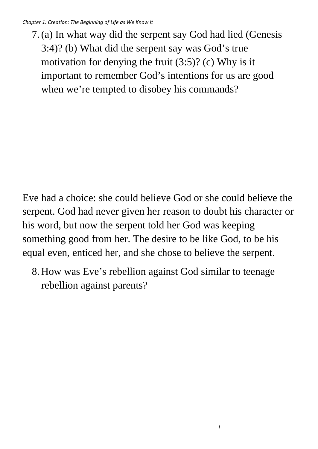*Chapter 1: Creation: The Beginning of Life as We Know It*

7.(a) In what way did the serpent say God had lied (Genesis 3:4)? (b) What did the serpent say was God's true motivation for denying the fruit (3:5)? (c) Why is it important to remember God's intentions for us are good when we're tempted to disobey his commands?

Eve had a choice: she could believe God or she could believe the serpent. God had never given her reason to doubt his character or his word, but now the serpent told her God was keeping something good from her. The desire to be like God, to be his equal even, enticed her, and she chose to believe the serpent.

8. How was Eve's rebellion against God similar to teenage rebellion against parents?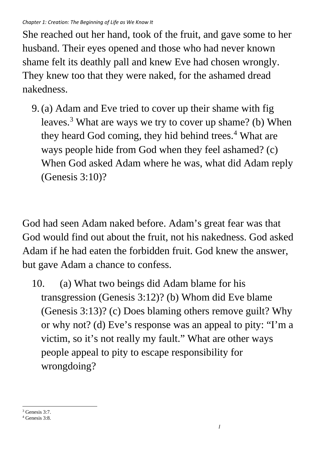She reached out her hand, took of the fruit, and gave some to her husband. Their eyes opened and those who had never known shame felt its deathly pall and knew Eve had chosen wrongly. They knew too that they were naked, for the ashamed dread nakedness.

9.(a) Adam and Eve tried to cover up their shame with fig leaves.<sup>[3](#page-11-0)</sup> What are ways we try to cover up shame? (b) When they heard God coming, they hid behind trees.<sup>[4](#page-11-1)</sup> What are ways people hide from God when they feel ashamed? (c) When God asked Adam where he was, what did Adam reply (Genesis 3:10)?

God had seen Adam naked before. Adam's great fear was that God would find out about the fruit, not his nakedness. God asked Adam if he had eaten the forbidden fruit. God knew the answer, but gave Adam a chance to confess.

10. (a) What two beings did Adam blame for his transgression (Genesis 3:12)? (b) Whom did Eve blame (Genesis 3:13)? (c) Does blaming others remove guilt? Why or why not? (d) Eve's response was an appeal to pity: "I'm a victim, so it's not really my fault." What are other ways people appeal to pity to escape responsibility for wrongdoing?

<span id="page-11-0"></span> $3$  Genesis 3:7.

<span id="page-11-1"></span><sup>4</sup> Genesis 3:8.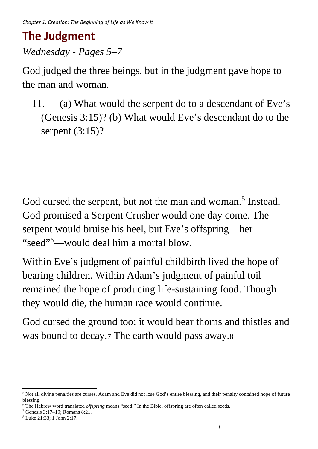*Chapter 1: Creation: The Beginning of Life as We Know It*

### **The Judgment**

*Wednesday - Pages 5–7* 

God judged the three beings, but in the judgment gave hope to the man and woman.

11. (a) What would the serpent do to a descendant of Eve's (Genesis 3:15)? (b) What would Eve's descendant do to the serpent (3:15)?

God cursed the serpent, but not the man and woman.<sup>[5](#page-12-0)</sup> Instead, God promised a Serpent Crusher would one day come. The serpent would bruise his heel, but Eve's offspring—her "seed"<sup>[6](#page-12-1)</sup>—would deal him a mortal blow.

Within Eve's judgment of painful childbirth lived the hope of bearing children. Within Adam's judgment of painful toil remained the hope of producing life-sustaining food. Though they would die, the human race would continue.

God cursed the ground too: it would bear thorns and thistles and was bound to decay.[7](#page-12-2) The earth would pass away.[8](#page-12-3)

<span id="page-12-0"></span> $<sup>5</sup>$  Not all divine penalties are curses. Adam and Eve did not lose God's entire blessing, and their penalty contained hope of future</sup> blessing.

<span id="page-12-1"></span><sup>&</sup>lt;sup>6</sup> The Hebrew word translated *offspring* means "seed." In the Bible, offspring are often called seeds.

<span id="page-12-2"></span><sup>7</sup> Genesis 3:17–19; Romans 8:21.

<span id="page-12-3"></span><sup>8</sup> Luke 21:33; 1 John 2:17.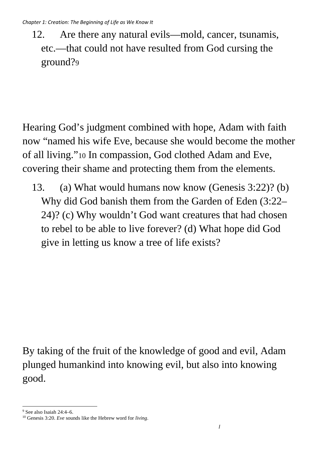12. Are there any natural evils—mold, cancer, tsunamis, etc.—that could not have resulted from God cursing the ground?[9](#page-13-0)

Hearing God's judgment combined with hope, Adam with faith now "named his wife Eve, because she would become the mother of all living."[10](#page-13-1) In compassion, God clothed Adam and Eve, covering their shame and protecting them from the elements.

13. (a) What would humans now know (Genesis 3:22)? (b) Why did God banish them from the Garden of Eden (3:22– 24)? (c) Why wouldn't God want creatures that had chosen to rebel to be able to live forever? (d) What hope did God give in letting us know a tree of life exists?

By taking of the fruit of the knowledge of good and evil, Adam plunged humankind into knowing evil, but also into knowing good.

<span id="page-13-0"></span><sup>9</sup> See also Isaiah 24:4–6.

<span id="page-13-1"></span><sup>10</sup> Genesis 3:20. *Eve* sounds like the Hebrew word for *living*.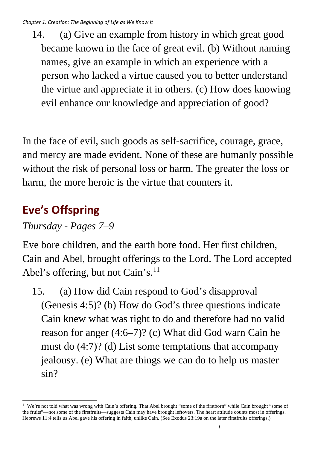14. (a) Give an example from history in which great good became known in the face of great evil. (b) Without naming names, give an example in which an experience with a person who lacked a virtue caused you to better understand the virtue and appreciate it in others. (c) How does knowing evil enhance our knowledge and appreciation of good?

In the face of evil, such goods as self-sacrifice, courage, grace, and mercy are made evident. None of these are humanly possible without the risk of personal loss or harm. The greater the loss or harm, the more heroic is the virtue that counters it.

### **Eve's Offspring**

*Thursday - Pages 7–9*

Eve bore children, and the earth bore food. Her first children, Cain and Abel, brought offerings to the Lord. The Lord accepted Abel's offering, but not Cain's.<sup>[11](#page-14-0)</sup>

15. (a) How did Cain respond to God's disapproval (Genesis 4:5)? (b) How do God's three questions indicate Cain knew what was right to do and therefore had no valid reason for anger (4:6–7)? (c) What did God warn Cain he must do (4:7)? (d) List some temptations that accompany jealousy. (e) What are things we can do to help us master sin?

<span id="page-14-0"></span><sup>&</sup>lt;sup>11</sup> We're not told what was wrong with Cain's offering. That Abel brought "some of the firstborn" while Cain brought "some of the fruits"—not some of the firstfruits—suggests Cain may have brought leftovers. The heart attitude counts most in offerings. Hebrews 11:4 tells us Abel gave his offering in faith, unlike Cain. (See Exodus 23:19a on the later firstfruits offerings.)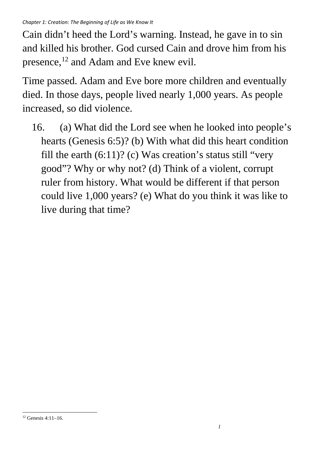Cain didn't heed the Lord's warning. Instead, he gave in to sin and killed his brother. God cursed Cain and drove him from his presence,<sup>[12](#page-15-0)</sup> and Adam and Eve knew evil.

Time passed. Adam and Eve bore more children and eventually died. In those days, people lived nearly 1,000 years. As people increased, so did violence.

16. (a) What did the Lord see when he looked into people's hearts (Genesis 6:5)? (b) With what did this heart condition fill the earth  $(6:11)$ ? (c) Was creation's status still "very good"? Why or why not? (d) Think of a violent, corrupt ruler from history. What would be different if that person could live 1,000 years? (e) What do you think it was like to live during that time?

<span id="page-15-0"></span> $12$  Genesis 4:11-16.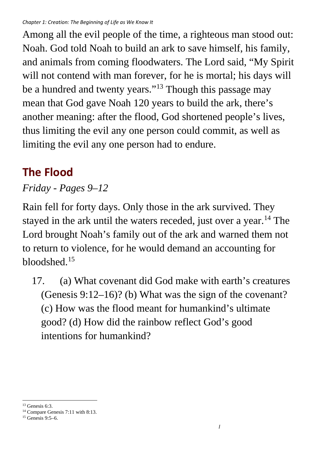#### *Chapter 1: Creation: The Beginning of Life as We Know It*

Among all the evil people of the time, a righteous man stood out: Noah. God told Noah to build an ark to save himself, his family, and animals from coming floodwaters. The Lord said, "My Spirit will not contend with man forever, for he is mortal; his days will be a hundred and twenty years."<sup>[13](#page-16-0)</sup> Though this passage may mean that God gave Noah 120 years to build the ark, there's another meaning: after the flood, God shortened people's lives, thus limiting the evil any one person could commit, as well as limiting the evil any one person had to endure.

### **The Flood**

#### *Friday - Pages 9–12*

Rain fell for forty days. Only those in the ark survived. They stayed in the ark until the waters receded, just over a year.<sup>[14](#page-16-1)</sup> The Lord brought Noah's family out of the ark and warned them not to return to violence, for he would demand an accounting for bloodshed.[15](#page-16-2)

17. (a) What covenant did God make with earth's creatures (Genesis 9:12–16)? (b) What was the sign of the covenant? (c) How was the flood meant for humankind's ultimate good? (d) How did the rainbow reflect God's good intentions for humankind?

<span id="page-16-1"></span><span id="page-16-0"></span><sup>&</sup>lt;sup>13</sup> Genesis 6:3.<br><sup>14</sup> Compare Genesis 7:11 with 8:13.

<span id="page-16-2"></span><sup>15</sup> Genesis 9:5–6.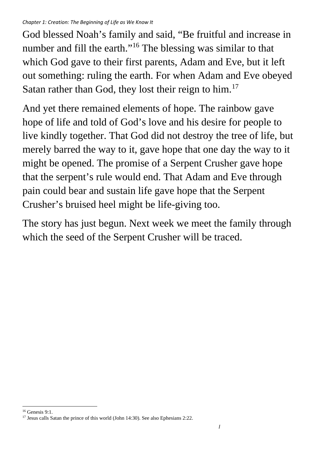#### *Chapter 1: Creation: The Beginning of Life as We Know It*

God blessed Noah's family and said, "Be fruitful and increase in number and fill the earth."<sup>[16](#page-17-0)</sup> The blessing was similar to that which God gave to their first parents, Adam and Eve, but it left out something: ruling the earth. For when Adam and Eve obeyed Satan rather than God, they lost their reign to him.<sup>[17](#page-17-1)</sup>

And yet there remained elements of hope. The rainbow gave hope of life and told of God's love and his desire for people to live kindly together. That God did not destroy the tree of life, but merely barred the way to it, gave hope that one day the way to it might be opened. The promise of a Serpent Crusher gave hope that the serpent's rule would end. That Adam and Eve through pain could bear and sustain life gave hope that the Serpent Crusher's bruised heel might be life-giving too.

The story has just begun. Next week we meet the family through which the seed of the Serpent Crusher will be traced.

<span id="page-17-1"></span><span id="page-17-0"></span> $16$  Genesis 9:1. <sup>17</sup> Jesus calls Satan the prince of this world (John 14:30). See also Ephesians 2:22.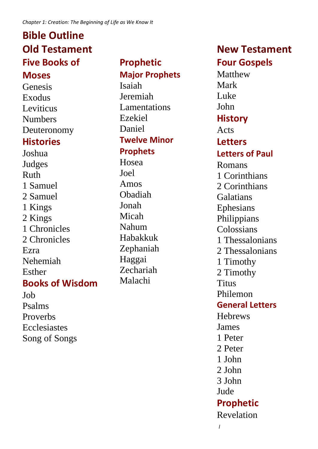#### **Bible Outline Old Testament Five Books of Moses**

Genesis Exodus Leviticus Numbers Deuteronomy

#### **Histories**

Joshua Judges Ruth 1 Samuel 2 Samuel 1 Kings 2 Kings 1 Chronicles 2 Chronicles Ezra Nehemiah Esther **Books of Wisdom** Job

Psalms **Proverbs Ecclesiastes** Song of Songs

**Prophetic Major Prophets** Isaiah Jeremiah Lamentations Ezekiel Daniel **Twelve Minor Prophets** Hosea Joel Amos Obadiah Jonah Micah Nahum Habakkuk Zephaniah Haggai Zechariah Malachi

**New Testament Four Gospels**

*l*  Matthew Mark Luke John **History** Acts **Letters Letters of Paul** Romans 1 Corinthians 2 Corinthians **Galatians** Ephesians Philippians Colossians 1 Thessalonians 2 Thessalonians 1 Timothy 2 Timothy Titus Philemon **General Letters Hebrews** James 1 Peter 2 Peter 1 John 2 John 3 John Jude **Prophetic** Revelation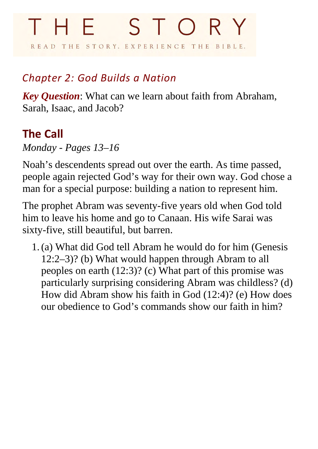#### <span id="page-19-0"></span>STORY THE. READ THE STORY. EXPERIENCE THE BIBLE.

#### *Chapter 2: God Builds a Nation*

*Key Question*: What can we learn about faith from Abraham, Sarah, Isaac, and Jacob?

### **The Call**

*Monday - Pages 13–16*

Noah's descendents spread out over the earth. As time passed, people again rejected God's way for their own way. God chose a man for a special purpose: building a nation to represent him.

The prophet Abram was seventy-five years old when God told him to leave his home and go to Canaan. His wife Sarai was sixty-five, still beautiful, but barren.

1.(a) What did God tell Abram he would do for him (Genesis 12:2–3)? (b) What would happen through Abram to all peoples on earth (12:3)? (c) What part of this promise was particularly surprising considering Abram was childless? (d) How did Abram show his faith in God (12:4)? (e) How does our obedience to God's commands show our faith in him?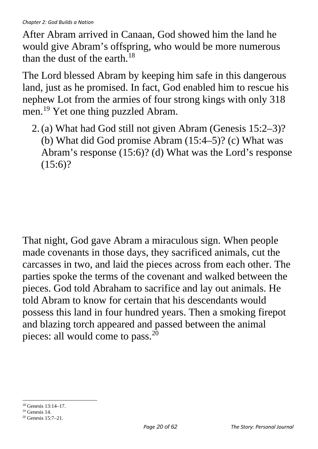After Abram arrived in Canaan, God showed him the land he would give Abram's offspring, who would be more numerous than the dust of the earth.<sup>[18](#page-20-0)</sup>

The Lord blessed Abram by keeping him safe in this dangerous land, just as he promised. In fact, God enabled him to rescue his nephew Lot from the armies of four strong kings with only 318 men.[19](#page-20-1) Yet one thing puzzled Abram.

2.(a) What had God still not given Abram (Genesis 15:2–3)? (b) What did God promise Abram (15:4–5)? (c) What was Abram's response (15:6)? (d) What was the Lord's response  $(15:6)?$ 

That night, God gave Abram a miraculous sign. When people made covenants in those days, they sacrificed animals, cut the carcasses in two, and laid the pieces across from each other. The parties spoke the terms of the covenant and walked between the pieces. God told Abraham to sacrifice and lay out animals. He told Abram to know for certain that his descendants would possess this land in four hundred years. Then a smoking firepot and blazing torch appeared and passed between the animal pieces: all would come to pass.<sup>[20](#page-20-2)</sup>

<span id="page-20-0"></span><sup>18</sup> Genesis 13:14–17.

<span id="page-20-1"></span> $19$  Genesis 14.

<span id="page-20-2"></span><sup>20</sup> Genesis 15:7–21.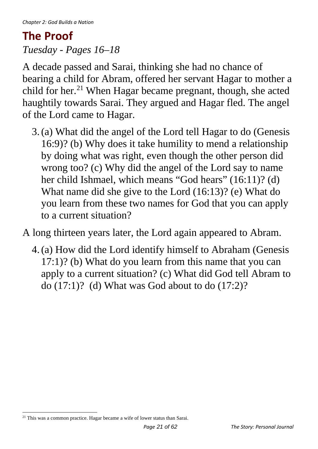#### **The Proof** *Tuesday - Pages 16–18*

A decade passed and Sarai, thinking she had no chance of bearing a child for Abram, offered her servant Hagar to mother a child for her.<sup>[21](#page-21-0)</sup> When Hagar became pregnant, though, she acted haughtily towards Sarai. They argued and Hagar fled. The angel of the Lord came to Hagar.

3.(a) What did the angel of the Lord tell Hagar to do (Genesis 16:9)? (b) Why does it take humility to mend a relationship by doing what was right, even though the other person did wrong too? (c) Why did the angel of the Lord say to name her child Ishmael, which means "God hears" (16:11)? (d) What name did she give to the Lord (16:13)? (e) What do you learn from these two names for God that you can apply to a current situation?

A long thirteen years later, the Lord again appeared to Abram.

4.(a) How did the Lord identify himself to Abraham (Genesis 17:1)? (b) What do you learn from this name that you can apply to a current situation? (c) What did God tell Abram to do (17:1)? (d) What was God about to do (17:2)?

<span id="page-21-0"></span><sup>&</sup>lt;sup>21</sup> This was a common practice. Hagar became a wife of lower status than Sarai.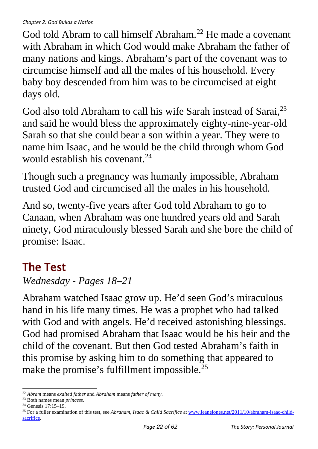#### *Chapter 2: God Builds a Nation*

God told Abram to call himself Abraham.<sup>[22](#page-22-0)</sup> He made a covenant with Abraham in which God would make Abraham the father of many nations and kings. Abraham's part of the covenant was to circumcise himself and all the males of his household. Every baby boy descended from him was to be circumcised at eight days old.

God also told Abraham to call his wife Sarah instead of Sarai,  $^{23}$  $^{23}$  $^{23}$ and said he would bless the approximately eighty-nine-year-old Sarah so that she could bear a son within a year. They were to name him Isaac, and he would be the child through whom God would establish his covenant.<sup>[24](#page-22-2)</sup>

Though such a pregnancy was humanly impossible, Abraham trusted God and circumcised all the males in his household.

And so, twenty-five years after God told Abraham to go to Canaan, when Abraham was one hundred years old and Sarah ninety, God miraculously blessed Sarah and she bore the child of promise: Isaac.

#### **The Test**

#### *Wednesday - Pages 18–21*

Abraham watched Isaac grow up. He'd seen God's miraculous hand in his life many times. He was a prophet who had talked with God and with angels. He'd received astonishing blessings. God had promised Abraham that Isaac would be his heir and the child of the covenant. But then God tested Abraham's faith in this promise by asking him to do something that appeared to make the promise's fulfillment impossible.<sup>[25](#page-22-3)</sup>

<span id="page-22-0"></span><sup>22</sup> *Abram* means *exalted father* and *Abraham* means *father of many*. 23 Both names mean *princess.*

<span id="page-22-1"></span>

<span id="page-22-2"></span><sup>24</sup> Genesis 17:15–19.

<span id="page-22-3"></span><sup>&</sup>lt;sup>25</sup> For a fuller examination of this test, see *Abraham, Isaac & Child Sacrifice* a[t www.jeanejones.net/2011/10/abraham-isaac-child](http://www.jeanejones.net/2011/10/abraham-isaac-child-sacrifice)[sacrifice.](http://www.jeanejones.net/2011/10/abraham-isaac-child-sacrifice)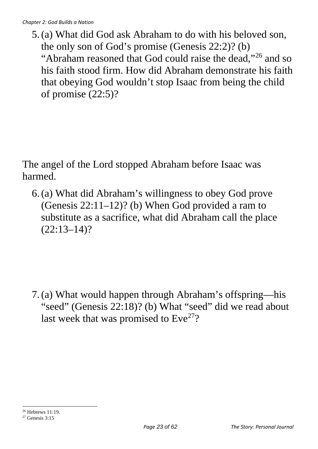5.(a) What did God ask Abraham to do with his beloved son, the only son of God's promise (Genesis 22:2)? (b) "Abraham reasoned that God could raise the dead,"<sup>[26](#page-23-0)</sup> and so his faith stood firm. How did Abraham demonstrate his faith that obeying God wouldn't stop Isaac from being the child of promise (22:5)?

The angel of the Lord stopped Abraham before Isaac was harmed.

6.(a) What did Abraham's willingness to obey God prove (Genesis 22:11–12)? (b) When God provided a ram to substitute as a sacrifice, what did Abraham call the place  $(22:13-14)?$ 

7.(a) What would happen through Abraham's offspring—his "seed" (Genesis 22:18)? (b) What "seed" did we read about last week that was promised to  $Eve^{27}$ ?

<span id="page-23-0"></span><sup>&</sup>lt;sup>26</sup> Hebrews 11:19.

<span id="page-23-1"></span><sup>27</sup> Genesis 3:15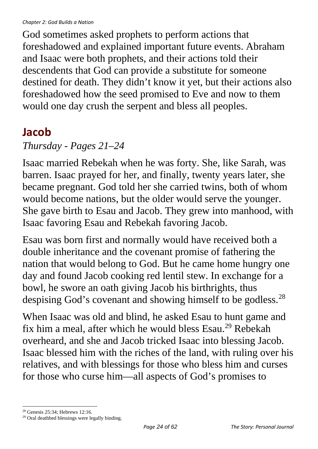#### *Chapter 2: God Builds a Nation*

God sometimes asked prophets to perform actions that foreshadowed and explained important future events. Abraham and Isaac were both prophets, and their actions told their descendents that God can provide a substitute for someone destined for death. They didn't know it yet, but their actions also foreshadowed how the seed promised to Eve and now to them would one day crush the serpent and bless all peoples.

#### **Jacob**

#### *Thursday - Pages 21–24*

Isaac married Rebekah when he was forty. She, like Sarah, was barren. Isaac prayed for her, and finally, twenty years later, she became pregnant. God told her she carried twins, both of whom would become nations, but the older would serve the younger. She gave birth to Esau and Jacob. They grew into manhood, with Isaac favoring Esau and Rebekah favoring Jacob.

Esau was born first and normally would have received both a double inheritance and the covenant promise of fathering the nation that would belong to God. But he came home hungry one day and found Jacob cooking red lentil stew. In exchange for a bowl, he swore an oath giving Jacob his birthrights, thus despising God's covenant and showing himself to be godless.<sup>[28](#page-24-0)</sup>

When Isaac was old and blind, he asked Esau to hunt game and fix him a meal, after which he would bless Esau.<sup>[29](#page-24-1)</sup> Rebekah overheard, and she and Jacob tricked Isaac into blessing Jacob. Isaac blessed him with the riches of the land, with ruling over his relatives, and with blessings for those who bless him and curses for those who curse him—all aspects of God's promises to

<span id="page-24-0"></span><sup>28</sup> Genesis 25:34; Hebrews 12:16.

<span id="page-24-1"></span><sup>&</sup>lt;sup>29</sup> Oral deathbed blessings were legally binding.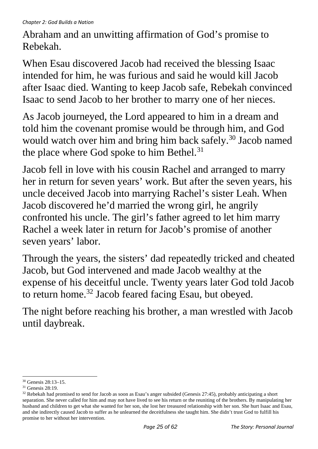Abraham and an unwitting affirmation of God's promise to Rebekah.

When Esau discovered Jacob had received the blessing Isaac intended for him, he was furious and said he would kill Jacob after Isaac died. Wanting to keep Jacob safe, Rebekah convinced Isaac to send Jacob to her brother to marry one of her nieces.

As Jacob journeyed, the Lord appeared to him in a dream and told him the covenant promise would be through him, and God would watch over him and bring him back safely.<sup>[30](#page-25-0)</sup> Jacob named the place where God spoke to him Bethel. $31$ 

Jacob fell in love with his cousin Rachel and arranged to marry her in return for seven years' work. But after the seven years, his uncle deceived Jacob into marrying Rachel's sister Leah. When Jacob discovered he'd married the wrong girl, he angrily confronted his uncle. The girl's father agreed to let him marry Rachel a week later in return for Jacob's promise of another seven years' labor.

Through the years, the sisters' dad repeatedly tricked and cheated Jacob, but God intervened and made Jacob wealthy at the expense of his deceitful uncle. Twenty years later God told Jacob to return home.<sup>[32](#page-25-2)</sup> Jacob feared facing Esau, but obeyed.

The night before reaching his brother, a man wrestled with Jacob until daybreak.

<span id="page-25-0"></span><sup>30</sup> Genesis 28:13–15.

<span id="page-25-1"></span><sup>31</sup> Genesis 28:19.

<span id="page-25-2"></span> $32$  Rebekah had promised to send for Jacob as soon as Esau's anger subsided (Genesis 27:45), probably anticipating a short separation. She never called for him and may not have lived to see his return or the reuniting of the brothers. By manipulating her husband and children to get what she wanted for her son, she lost her treasured relationship with her son. She hurt Isaac and Esau, and she indirectly caused Jacob to suffer as he unlearned the deceitfulness she taught him. She didn't trust God to fulfill his promise to her without her intervention.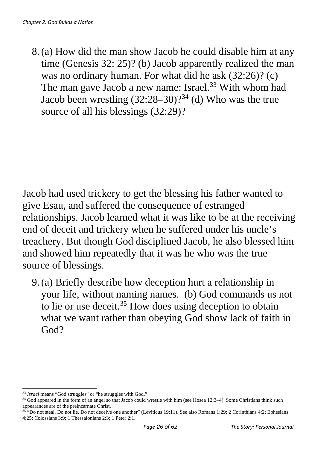8.(a) How did the man show Jacob he could disable him at any time (Genesis 32: 25)? (b) Jacob apparently realized the man was no ordinary human. For what did he ask (32:26)? (c) The man gave Jacob a new name: Israel.<sup>[33](#page-26-0)</sup> With whom had Jacob been wrestling  $(32:28-30)$ ?<sup>[34](#page-26-1)</sup> (d) Who was the true source of all his blessings (32:29)?

Jacob had used trickery to get the blessing his father wanted to give Esau, and suffered the consequence of estranged relationships. Jacob learned what it was like to be at the receiving end of deceit and trickery when he suffered under his uncle's treachery. But though God disciplined Jacob, he also blessed him and showed him repeatedly that it was he who was the true source of blessings.

9.(a) Briefly describe how deception hurt a relationship in your life, without naming names. (b) God commands us not to lie or use deceit.<sup>[35](#page-26-2)</sup> How does using deception to obtain what we want rather than obeying God show lack of faith in God?

<span id="page-26-0"></span><sup>33</sup> *Israel* means "God struggles" or "he struggles with God."

<span id="page-26-1"></span><sup>&</sup>lt;sup>34</sup> God appeared in the form of an angel so that Jacob could wrestle with him (see Hosea 12:3–4). Some Christians think such appearances are of the preincarnate Christ.

<span id="page-26-2"></span><sup>35</sup> "Do not steal. Do not lie. Do not deceive one another" (Leviticus 19:11). See also Romans 1:29; 2 Corinthians 4:2; Ephesians 4:25; Colossians 3:9; 1 Thessalonians 2:3; 1 Peter 2:1.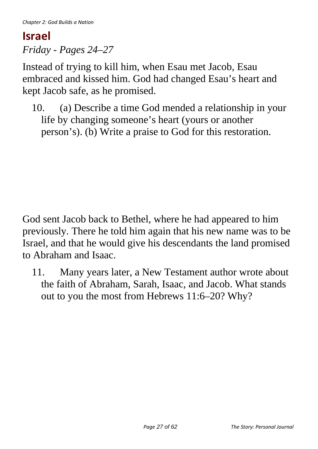#### **Israel** *Friday - Pages 24–27*

Instead of trying to kill him, when Esau met Jacob, Esau embraced and kissed him. God had changed Esau's heart and kept Jacob safe, as he promised.

10. (a) Describe a time God mended a relationship in your life by changing someone's heart (yours or another person's). (b) Write a praise to God for this restoration.

God sent Jacob back to Bethel, where he had appeared to him previously. There he told him again that his new name was to be Israel, and that he would give his descendants the land promised to Abraham and Isaac.

11. Many years later, a New Testament author wrote about the faith of Abraham, Sarah, Isaac, and Jacob. What stands out to you the most from Hebrews 11:6–20? Why?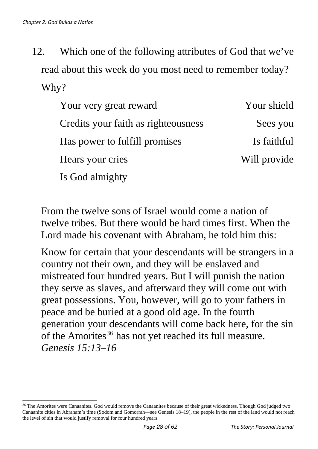12. Which one of the following attributes of God that we've read about this week do you most need to remember today? Why?

| Your very great reward              | Your shield  |
|-------------------------------------|--------------|
| Credits your faith as righteousness | Sees you     |
| Has power to fulfill promises       | Is faithful  |
| Hears your cries                    | Will provide |
| Is God almighty                     |              |

From the twelve sons of Israel would come a nation of twelve tribes. But there would be hard times first. When the Lord made his covenant with Abraham, he told him this:

Know for certain that your descendants will be strangers in a country not their own, and they will be enslaved and mistreated four hundred years. But I will punish the nation they serve as slaves, and afterward they will come out with great possessions. You, however, will go to your fathers in peace and be buried at a good old age. In the fourth generation your descendants will come back here, for the sin of the Amorites<sup>[36](#page-28-0)</sup> has not yet reached its full measure. *Genesis 15:13–16* 

<span id="page-28-0"></span><sup>&</sup>lt;sup>36</sup> The Amorites were Canaanites. God would remove the Canaanites because of their great wickedness. Though God judged two Canaanite cities in Abraham's time (Sodom and Gomorrah—see Genesis 18–19), the people in the rest of the land would not reach the level of sin that would justify removal for four hundred years.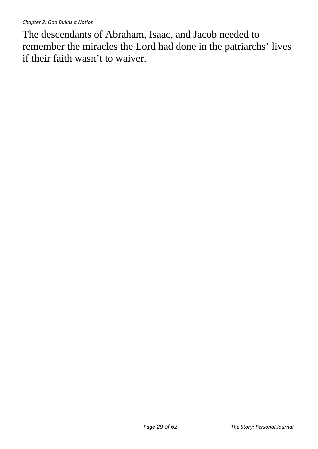The descendants of Abraham, Isaac, and Jacob needed to remember the miracles the Lord had done in the patriarchs' lives if their faith wasn't to waiver.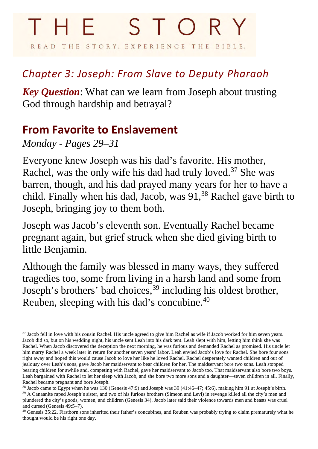#### <span id="page-30-0"></span>THE STORY READ THE STORY. EXPERIENCE THE BIBLE.

#### *Chapter 3: Joseph: From Slave to Deputy Pharaoh*

*Key Question*: What can we learn from Joseph about trusting God through hardship and betrayal?

#### **From Favorite to Enslavement**

*Monday - Pages 29–31*

Everyone knew Joseph was his dad's favorite. His mother, Rachel, was the only wife his dad had truly loved.<sup>[37](#page-30-1)</sup> She was barren, though, and his dad prayed many years for her to have a child. Finally when his dad, Jacob, was 91,<sup>[38](#page-30-2)</sup> Rachel gave birth to Joseph, bringing joy to them both.

Joseph was Jacob's eleventh son. Eventually Rachel became pregnant again, but grief struck when she died giving birth to little Benjamin.

Although the family was blessed in many ways, they suffered tragedies too, some from living in a harsh land and some from Joseph's brothers' bad choices,<sup>[39](#page-30-3)</sup> including his oldest brother, Reuben, sleeping with his dad's concubine.<sup>[40](#page-30-4)</sup>

<span id="page-30-1"></span><sup>&</sup>lt;sup>37</sup> Jacob fell in love with his cousin Rachel. His uncle agreed to give him Rachel as wife if Jacob worked for him seven years. Jacob did so, but on his wedding night, his uncle sent Leah into his dark tent. Leah slept with him, letting him think she was Rachel. When Jacob discovered the deception the next morning, he was furious and demanded Rachel as promised. His uncle let him marry Rachel a week later in return for another seven years' labor. Leah envied Jacob's love for Rachel. She bore four sons right away and hoped this would cause Jacob to love her like he loved Rachel. Rachel desperately wanted children and out of jealousy over Leah's sons, gave Jacob her maidservant to bear children for her. The maidservant bore two sons. Leah stopped bearing children for awhile and, competing with Rachel, gave her maidservant to Jacob too. That maidservant also bore two boys. Leah bargained with Rachel to let her sleep with Jacob, and she bore two more sons and a daughter—seven children in all. Finally, Rachel became pregnant and bore Joseph.

<span id="page-30-2"></span><sup>38</sup> Jacob came to Egypt when he was 130 (Genesis 47:9) and Joseph was 39 (41:46–47; 45:6), making him 91 at Joseph's birth.

<span id="page-30-3"></span><sup>&</sup>lt;sup>39</sup> A Canaanite raped Joseph's sister, and two of his furious brothers (Simeon and Levi) in revenge killed all the city's men and plundered the city's goods, women, and children (Genesis 34). Jacob later said their violence towards men and beasts was cruel and cursed (Genesis 49:5–7).

<span id="page-30-4"></span><sup>&</sup>lt;sup>40</sup> Genesis 35:22. Firstborn sons inherited their father's concubines, and Reuben was probably trying to claim prematurely what he thought would be his right one day.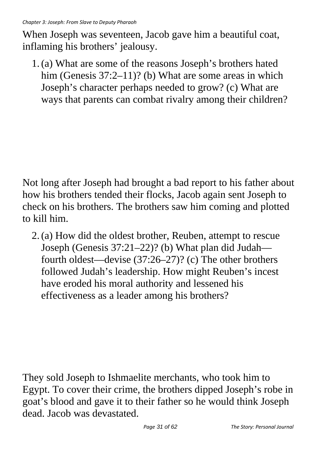When Joseph was seventeen, Jacob gave him a beautiful coat, inflaming his brothers' jealousy.

1.(a) What are some of the reasons Joseph's brothers hated him (Genesis 37:2–11)? (b) What are some areas in which Joseph's character perhaps needed to grow? (c) What are ways that parents can combat rivalry among their children?

Not long after Joseph had brought a bad report to his father about how his brothers tended their flocks, Jacob again sent Joseph to check on his brothers. The brothers saw him coming and plotted to kill him.

2.(a) How did the oldest brother, Reuben, attempt to rescue Joseph (Genesis 37:21–22)? (b) What plan did Judah fourth oldest—devise (37:26–27)? (c) The other brothers followed Judah's leadership. How might Reuben's incest have eroded his moral authority and lessened his effectiveness as a leader among his brothers?

They sold Joseph to Ishmaelite merchants, who took him to Egypt. To cover their crime, the brothers dipped Joseph's robe in goat's blood and gave it to their father so he would think Joseph dead. Jacob was devastated.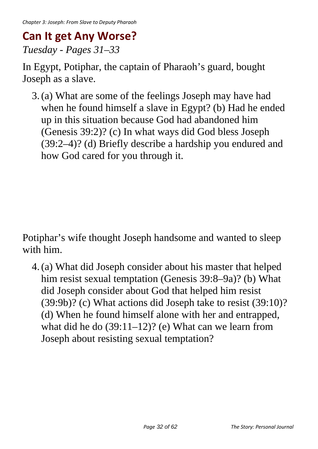## **Can It get Any Worse?**

*Tuesday - Pages 31–33*

In Egypt, Potiphar, the captain of Pharaoh's guard, bought Joseph as a slave.

3.(a) What are some of the feelings Joseph may have had when he found himself a slave in Egypt? (b) Had he ended up in this situation because God had abandoned him (Genesis 39:2)? (c) In what ways did God bless Joseph (39:2–4)? (d) Briefly describe a hardship you endured and how God cared for you through it.

Potiphar's wife thought Joseph handsome and wanted to sleep with him.

4.(a) What did Joseph consider about his master that helped him resist sexual temptation (Genesis 39:8–9a)? (b) What did Joseph consider about God that helped him resist (39:9b)? (c) What actions did Joseph take to resist (39:10)? (d) When he found himself alone with her and entrapped, what did he do  $(39:11-12)$ ? (e) What can we learn from Joseph about resisting sexual temptation?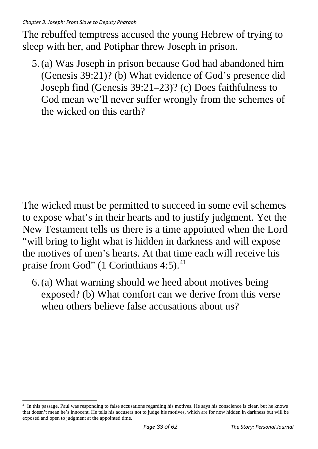The rebuffed temptress accused the young Hebrew of trying to sleep with her, and Potiphar threw Joseph in prison.

5.(a) Was Joseph in prison because God had abandoned him (Genesis 39:21)? (b) What evidence of God's presence did Joseph find (Genesis 39:21–23)? (c) Does faithfulness to God mean we'll never suffer wrongly from the schemes of the wicked on this earth?

The wicked must be permitted to succeed in some evil schemes to expose what's in their hearts and to justify judgment. Yet the New Testament tells us there is a time appointed when the Lord "will bring to light what is hidden in darkness and will expose the motives of men's hearts. At that time each will receive his praise from God" (1 Corinthians  $4:5$ ).<sup>[41](#page-33-0)</sup>

6.(a) What warning should we heed about motives being exposed? (b) What comfort can we derive from this verse when others believe false accusations about us?

<span id="page-33-0"></span><sup>&</sup>lt;sup>41</sup> In this passage, Paul was responding to false accusations regarding his motives. He says his conscience is clear, but he knows that doesn't mean he's innocent. He tells his accusers not to judge his motives, which are for now hidden in darkness but will be exposed and open to judgment at the appointed time.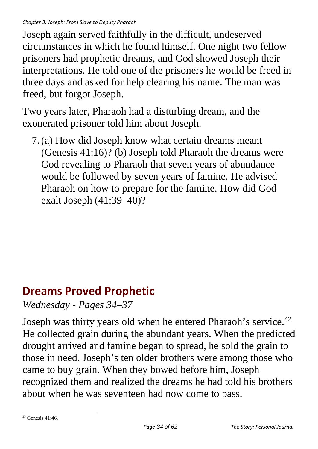#### *Chapter 3: Joseph: From Slave to Deputy Pharaoh*

Joseph again served faithfully in the difficult, undeserved circumstances in which he found himself. One night two fellow prisoners had prophetic dreams, and God showed Joseph their interpretations. He told one of the prisoners he would be freed in three days and asked for help clearing his name. The man was freed, but forgot Joseph.

Two years later, Pharaoh had a disturbing dream, and the exonerated prisoner told him about Joseph.

7.(a) How did Joseph know what certain dreams meant (Genesis 41:16)? (b) Joseph told Pharaoh the dreams were God revealing to Pharaoh that seven years of abundance would be followed by seven years of famine. He advised Pharaoh on how to prepare for the famine. How did God exalt Joseph (41:39–40)?

### **Dreams Proved Prophetic**

*Wednesday - Pages 34–37*

<span id="page-34-0"></span>Joseph was thirty years old when he entered Pharaoh's service.<sup>[42](#page-34-0)</sup> He collected grain during the abundant years. When the predicted drought arrived and famine began to spread, he sold the grain to those in need. Joseph's ten older brothers were among those who came to buy grain. When they bowed before him, Joseph recognized them and realized the dreams he had told his brothers about when he was seventeen had now come to pass.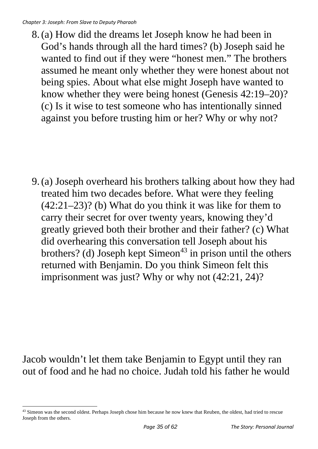8.(a) How did the dreams let Joseph know he had been in God's hands through all the hard times? (b) Joseph said he wanted to find out if they were "honest men." The brothers assumed he meant only whether they were honest about not being spies. About what else might Joseph have wanted to know whether they were being honest (Genesis 42:19–20)? (c) Is it wise to test someone who has intentionally sinned against you before trusting him or her? Why or why not?

9.(a) Joseph overheard his brothers talking about how they had treated him two decades before. What were they feeling  $(42:21-23)$ ? (b) What do you think it was like for them to carry their secret for over twenty years, knowing they'd greatly grieved both their brother and their father? (c) What did overhearing this conversation tell Joseph about his brothers? (d) Joseph kept Simeon<sup>[43](#page-35-0)</sup> in prison until the others returned with Benjamin. Do you think Simeon felt this imprisonment was just? Why or why not (42:21, 24)?

Jacob wouldn't let them take Benjamin to Egypt until they ran out of food and he had no choice. Judah told his father he would

<span id="page-35-0"></span><sup>&</sup>lt;sup>43</sup> Simeon was the second oldest. Perhaps Joseph chose him because he now knew that Reuben, the oldest, had tried to rescue Joseph from the others.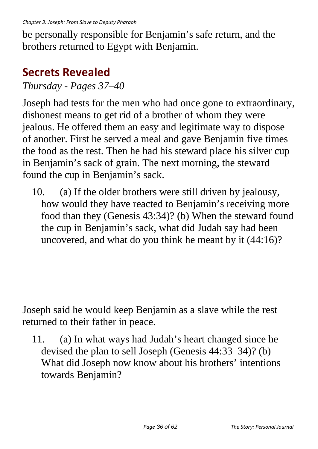be personally responsible for Benjamin's safe return, and the brothers returned to Egypt with Benjamin.

### **Secrets Revealed**

*Thursday - Pages 37–40*

Joseph had tests for the men who had once gone to extraordinary, dishonest means to get rid of a brother of whom they were jealous. He offered them an easy and legitimate way to dispose of another. First he served a meal and gave Benjamin five times the food as the rest. Then he had his steward place his silver cup in Benjamin's sack of grain. The next morning, the steward found the cup in Benjamin's sack.

10. (a) If the older brothers were still driven by jealousy, how would they have reacted to Benjamin's receiving more food than they (Genesis 43:34)? (b) When the steward found the cup in Benjamin's sack, what did Judah say had been uncovered, and what do you think he meant by it (44:16)?

Joseph said he would keep Benjamin as a slave while the rest returned to their father in peace.

11. (a) In what ways had Judah's heart changed since he devised the plan to sell Joseph (Genesis 44:33–34)? (b) What did Joseph now know about his brothers' intentions towards Benjamin?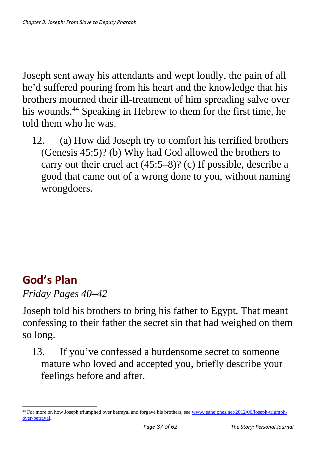Joseph sent away his attendants and wept loudly, the pain of all he'd suffered pouring from his heart and the knowledge that his brothers mourned their ill-treatment of him spreading salve over his wounds.<sup>[44](#page-37-0)</sup> Speaking in Hebrew to them for the first time, he told them who he was.

12. (a) How did Joseph try to comfort his terrified brothers (Genesis 45:5)? (b) Why had God allowed the brothers to carry out their cruel act (45:5–8)? (c) If possible, describe a good that came out of a wrong done to you, without naming wrongdoers.

#### **God's Plan**

*Friday Pages 40–42*

Joseph told his brothers to bring his father to Egypt. That meant confessing to their father the secret sin that had weighed on them so long.

13. If you've confessed a burdensome secret to someone mature who loved and accepted you, briefly describe your feelings before and after.

<span id="page-37-0"></span><sup>&</sup>lt;sup>44</sup> For more on how Joseph triumphed over betrayal and forgave his brothers, see [www.jeanejones.net/2012/06/joseph-triumph](http://www.jeanejones.net/2012/06/joseph-triumph-over-betrayal/)[over-betrayal.](http://www.jeanejones.net/2012/06/joseph-triumph-over-betrayal/)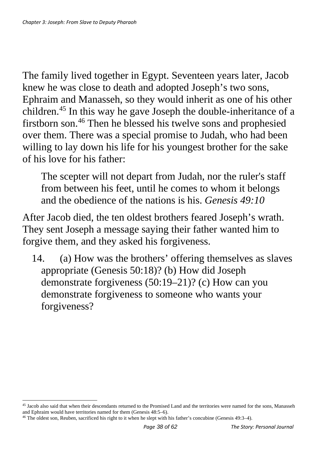The family lived together in Egypt. Seventeen years later, Jacob knew he was close to death and adopted Joseph's two sons, Ephraim and Manasseh, so they would inherit as one of his other children.[45](#page-38-0) In this way he gave Joseph the double-inheritance of a firstborn son.[46](#page-38-1) Then he blessed his twelve sons and prophesied over them. There was a special promise to Judah, who had been willing to lay down his life for his youngest brother for the sake of his love for his father:

The scepter will not depart from Judah, nor the ruler's staff from between his feet, until he comes to whom it belongs and the obedience of the nations is his. *Genesis 49:10* 

After Jacob died, the ten oldest brothers feared Joseph's wrath. They sent Joseph a message saying their father wanted him to forgive them, and they asked his forgiveness.

14. (a) How was the brothers' offering themselves as slaves appropriate (Genesis 50:18)? (b) How did Joseph demonstrate forgiveness (50:19–21)? (c) How can you demonstrate forgiveness to someone who wants your forgiveness?

<span id="page-38-0"></span><sup>&</sup>lt;sup>45</sup> Jacob also said that when their descendants returned to the Promised Land and the territories were named for the sons, Manasseh and Ephraim would have territories named for them (Genesis 48:5–6).<br><sup>46</sup> The oldest son, Reuben, sacrificed his right to it when he slept with his father's concubine (Genesis 49:3–4).

<span id="page-38-1"></span>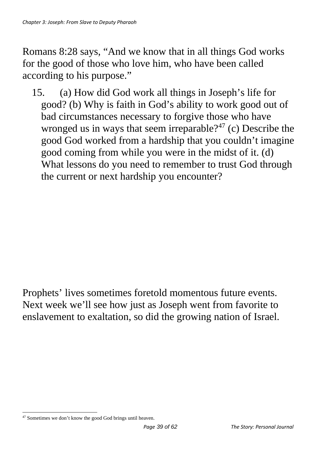Romans 8:28 says, "And we know that in all things God works for the good of those who love him, who have been called according to his purpose."

15. (a) How did God work all things in Joseph's life for good? (b) Why is faith in God's ability to work good out of bad circumstances necessary to forgive those who have wronged us in ways that seem irreparable?<sup>[47](#page-39-0)</sup> (c) Describe the good God worked from a hardship that you couldn't imagine good coming from while you were in the midst of it. (d) What lessons do you need to remember to trust God through the current or next hardship you encounter?

Prophets' lives sometimes foretold momentous future events. Next week we'll see how just as Joseph went from favorite to enslavement to exaltation, so did the growing nation of Israel.

<span id="page-39-0"></span><sup>&</sup>lt;sup>47</sup> Sometimes we don't know the good God brings until heaven.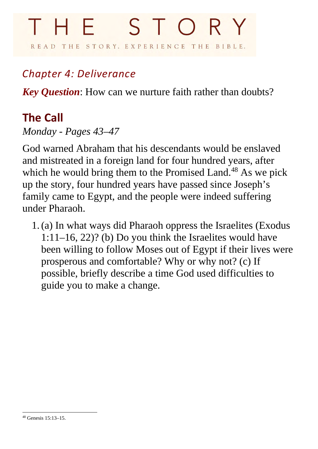#### <span id="page-40-0"></span>STORY THE READ THE STORY. EXPERIENCE THE BIBLE.

### *Chapter 4: Deliverance*

*Key Question*: How can we nurture faith rather than doubts?

#### **The Call**

*Monday - Pages 43–47*

God warned Abraham that his descendants would be enslaved and mistreated in a foreign land for four hundred years, after which he would bring them to the Promised Land.<sup>[48](#page-40-1)</sup> As we pick up the story, four hundred years have passed since Joseph's family came to Egypt, and the people were indeed suffering under Pharaoh.

<span id="page-40-1"></span>1.(a) In what ways did Pharaoh oppress the Israelites (Exodus 1:11–16, 22)? (b) Do you think the Israelites would have been willing to follow Moses out of Egypt if their lives were prosperous and comfortable? Why or why not? (c) If possible, briefly describe a time God used difficulties to guide you to make a change.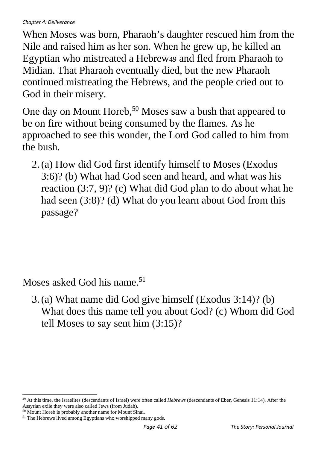When Moses was born, Pharaoh's daughter rescued him from the Nile and raised him as her son. When he grew up, he killed an Egyptian who mistreated a Hebrew[49](#page-41-0) and fled from Pharaoh to Midian. That Pharaoh eventually died, but the new Pharaoh continued mistreating the Hebrews, and the people cried out to God in their misery.

One day on Mount Horeb,<sup>[50](#page-41-1)</sup> Moses saw a bush that appeared to be on fire without being consumed by the flames. As he approached to see this wonder, the Lord God called to him from the bush.

2.(a) How did God first identify himself to Moses (Exodus 3:6)? (b) What had God seen and heard, and what was his reaction (3:7, 9)? (c) What did God plan to do about what he had seen (3:8)? (d) What do you learn about God from this passage?

Moses asked God his name.<sup>[51](#page-41-2)</sup>

3.(a) What name did God give himself (Exodus 3:14)? (b) What does this name tell you about God? (c) Whom did God tell Moses to say sent him (3:15)?

<span id="page-41-0"></span><sup>49</sup> At this time, the Israelites (descendants of Israel) were often called *Hebrews* (descendants of Eber, Genesis 11:14). After the Assyrian exile they were also called Jews (from Judah).

<span id="page-41-1"></span><sup>50</sup> Mount Horeb is probably another name for Mount Sinai.

<span id="page-41-2"></span><sup>&</sup>lt;sup>51</sup> The Hebrews lived among Egyptians who worshipped many gods.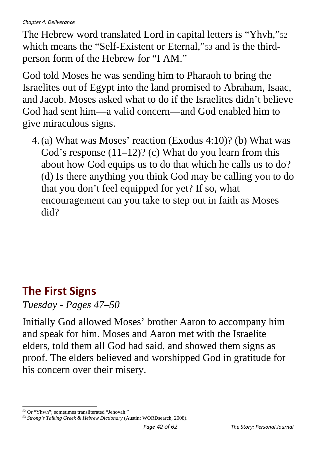The Hebrew word translated Lord in capital letters is "Yhvh,"[52](#page-42-0) which means the "Self-Existent or Eternal,"<sup>[53](#page-42-1)</sup> and is the thirdperson form of the Hebrew for "I AM."

God told Moses he was sending him to Pharaoh to bring the Israelites out of Egypt into the land promised to Abraham, Isaac, and Jacob. Moses asked what to do if the Israelites didn't believe God had sent him—a valid concern—and God enabled him to give miraculous signs.

4.(a) What was Moses' reaction (Exodus 4:10)? (b) What was God's response  $(11–12)$ ? (c) What do you learn from this about how God equips us to do that which he calls us to do? (d) Is there anything you think God may be calling you to do that you don't feel equipped for yet? If so, what encouragement can you take to step out in faith as Moses did?

#### **The First Signs**

*Tuesday - Pages 47–50*

Initially God allowed Moses' brother Aaron to accompany him and speak for him. Moses and Aaron met with the Israelite elders, told them all God had said, and showed them signs as proof. The elders believed and worshipped God in gratitude for his concern over their misery.

<span id="page-42-1"></span><span id="page-42-0"></span><sup>52</sup> Or "Yhwh"; sometimes transliterated "Jehovah." <sup>53</sup> *Strong's Talking Greek & Hebrew Dictionary* (Austin: WORDsearch, 2008).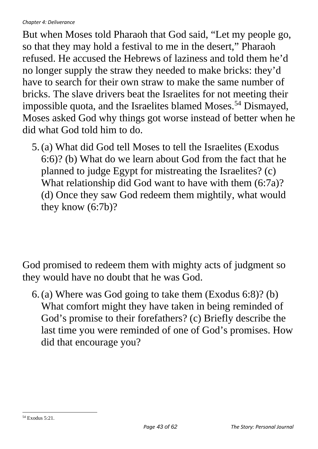But when Moses told Pharaoh that God said, "Let my people go, so that they may hold a festival to me in the desert," Pharaoh refused. He accused the Hebrews of laziness and told them he'd no longer supply the straw they needed to make bricks: they'd have to search for their own straw to make the same number of bricks. The slave drivers beat the Israelites for not meeting their impossible quota, and the Israelites blamed Moses.<sup>[54](#page-43-0)</sup> Dismayed, Moses asked God why things got worse instead of better when he did what God told him to do.

5.(a) What did God tell Moses to tell the Israelites (Exodus 6:6)? (b) What do we learn about God from the fact that he planned to judge Egypt for mistreating the Israelites? (c) What relationship did God want to have with them (6:7a)? (d) Once they saw God redeem them mightily, what would they know (6:7b)?

God promised to redeem them with mighty acts of judgment so they would have no doubt that he was God.

6.(a) Where was God going to take them (Exodus 6:8)? (b) What comfort might they have taken in being reminded of God's promise to their forefathers? (c) Briefly describe the last time you were reminded of one of God's promises. How did that encourage you?

<span id="page-43-0"></span><sup>54</sup> Exodus 5:21.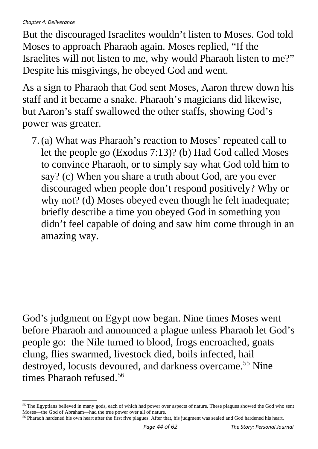But the discouraged Israelites wouldn't listen to Moses. God told Moses to approach Pharaoh again. Moses replied, "If the Israelites will not listen to me, why would Pharaoh listen to me?" Despite his misgivings, he obeyed God and went.

As a sign to Pharaoh that God sent Moses, Aaron threw down his staff and it became a snake. Pharaoh's magicians did likewise, but Aaron's staff swallowed the other staffs, showing God's power was greater.

7.(a) What was Pharaoh's reaction to Moses' repeated call to let the people go (Exodus 7:13)? (b) Had God called Moses to convince Pharaoh, or to simply say what God told him to say? (c) When you share a truth about God, are you ever discouraged when people don't respond positively? Why or why not? (d) Moses obeyed even though he felt inadequate; briefly describe a time you obeyed God in something you didn't feel capable of doing and saw him come through in an amazing way.

God's judgment on Egypt now began. Nine times Moses went before Pharaoh and announced a plague unless Pharaoh let God's people go: the Nile turned to blood, frogs encroached, gnats clung, flies swarmed, livestock died, boils infected, hail destroyed, locusts devoured, and darkness overcame.<sup>[55](#page-44-0)</sup> Nine times Pharaoh refused.<sup>[56](#page-44-1)</sup>

<span id="page-44-0"></span><sup>&</sup>lt;sup>55</sup> The Egyptians believed in many gods, each of which had power over aspects of nature. These plagues showed the God who sent Moses—the God of Abraham—had the true power over all of nature.

<span id="page-44-1"></span><sup>56</sup> Pharaoh hardened his own heart after the first five plagues. After that, his judgment was sealed and God hardened his heart.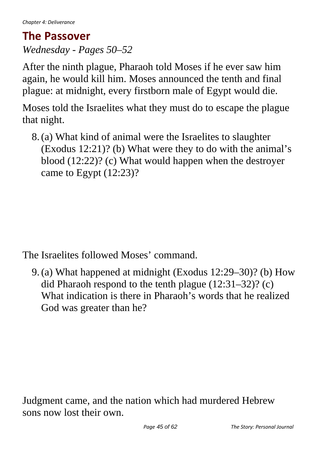#### **The Passover** *Wednesday - Pages 50–52*

After the ninth plague, Pharaoh told Moses if he ever saw him again, he would kill him. Moses announced the tenth and final plague: at midnight, every firstborn male of Egypt would die.

Moses told the Israelites what they must do to escape the plague that night.

8.(a) What kind of animal were the Israelites to slaughter (Exodus 12:21)? (b) What were they to do with the animal's blood (12:22)? (c) What would happen when the destroyer came to Egypt (12:23)?

The Israelites followed Moses' command.

9.(a) What happened at midnight (Exodus 12:29–30)? (b) How did Pharaoh respond to the tenth plague (12:31–32)? (c) What indication is there in Pharaoh's words that he realized God was greater than he?

Judgment came, and the nation which had murdered Hebrew sons now lost their own.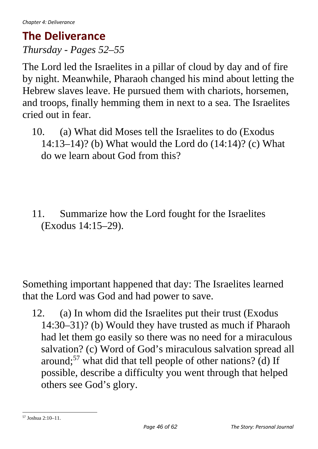### **The Deliverance**

*Thursday - Pages 52–55*

The Lord led the Israelites in a pillar of cloud by day and of fire by night. Meanwhile, Pharaoh changed his mind about letting the Hebrew slaves leave. He pursued them with chariots, horsemen, and troops, finally hemming them in next to a sea. The Israelites cried out in fear.

10. (a) What did Moses tell the Israelites to do (Exodus 14:13–14)? (b) What would the Lord do (14:14)? (c) What do we learn about God from this?

11. Summarize how the Lord fought for the Israelites (Exodus 14:15–29).

Something important happened that day: The Israelites learned that the Lord was God and had power to save.

12. (a) In whom did the Israelites put their trust (Exodus 14:30–31)? (b) Would they have trusted as much if Pharaoh had let them go easily so there was no need for a miraculous salvation? (c) Word of God's miraculous salvation spread all around;<sup>[57](#page-46-0)</sup> what did that tell people of other nations? (d) If possible, describe a difficulty you went through that helped others see God's glory.

<span id="page-46-0"></span><sup>57</sup> Joshua 2:10–11.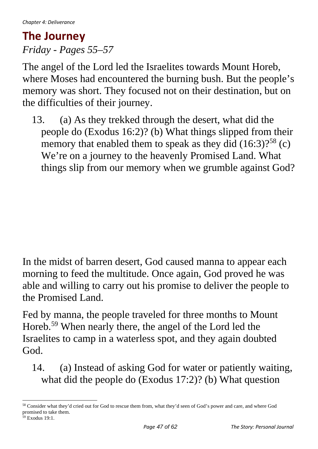#### **The Journey** *Friday - Pages 55–57*

The angel of the Lord led the Israelites towards Mount Horeb, where Moses had encountered the burning bush. But the people's memory was short. They focused not on their destination, but on the difficulties of their journey.

13. (a) As they trekked through the desert, what did the people do (Exodus 16:2)? (b) What things slipped from their memory that enabled them to speak as they did  $(16:3)$ ?<sup>[58](#page-47-0)</sup> (c) We're on a journey to the heavenly Promised Land. What things slip from our memory when we grumble against God?

In the midst of barren desert, God caused manna to appear each morning to feed the multitude. Once again, God proved he was able and willing to carry out his promise to deliver the people to the Promised Land.

Fed by manna, the people traveled for three months to Mount Horeb.<sup>[59](#page-47-1)</sup> When nearly there, the angel of the Lord led the Israelites to camp in a waterless spot, and they again doubted God.

14. (a) Instead of asking God for water or patiently waiting, what did the people do (Exodus 17:2)? (b) What question

<span id="page-47-1"></span> $59$  Exodus 19:1.

<span id="page-47-0"></span><sup>&</sup>lt;sup>58</sup> Consider what they'd cried out for God to rescue them from, what they'd seen of God's power and care, and where God promised to take them.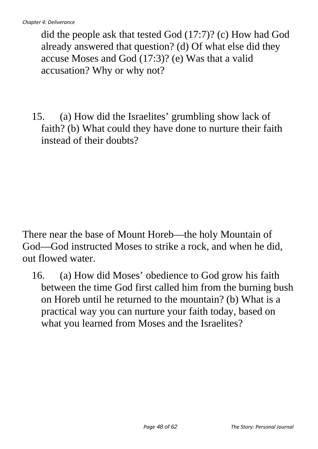did the people ask that tested God (17:7)? (c) How had God already answered that question? (d) Of what else did they accuse Moses and God (17:3)? (e) Was that a valid accusation? Why or why not?

15. (a) How did the Israelites' grumbling show lack of faith? (b) What could they have done to nurture their faith instead of their doubts?

There near the base of Mount Horeb—the holy Mountain of God—God instructed Moses to strike a rock, and when he did, out flowed water.

16. (a) How did Moses' obedience to God grow his faith between the time God first called him from the burning bush on Horeb until he returned to the mountain? (b) What is a practical way you can nurture your faith today, based on what you learned from Moses and the Israelites?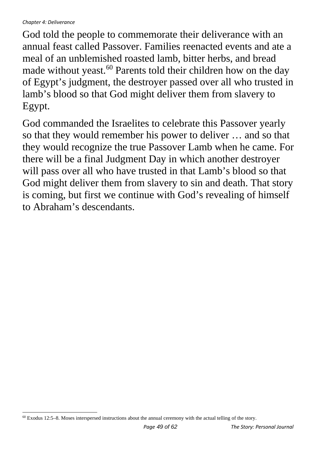God told the people to commemorate their deliverance with an annual feast called Passover. Families reenacted events and ate a meal of an unblemished roasted lamb, bitter herbs, and bread made without yeast.<sup>[60](#page-49-0)</sup> Parents told their children how on the day of Egypt's judgment, the destroyer passed over all who trusted in lamb's blood so that God might deliver them from slavery to Egypt.

God commanded the Israelites to celebrate this Passover yearly so that they would remember his power to deliver … and so that they would recognize the true Passover Lamb when he came. For there will be a final Judgment Day in which another destroyer will pass over all who have trusted in that Lamb's blood so that God might deliver them from slavery to sin and death. That story is coming, but first we continue with God's revealing of himself to Abraham's descendants.

<span id="page-49-0"></span><sup>60</sup> Exodus 12:5–8. Moses interspersed instructions about the annual ceremony with the actual telling of the story.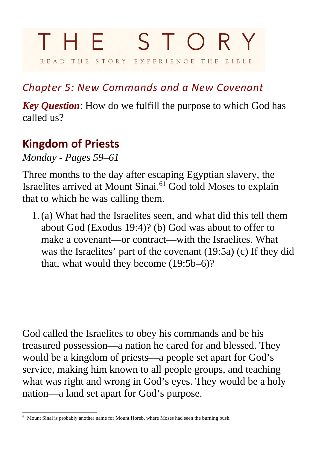#### <span id="page-50-0"></span>STORY THE READ THE STORY. EXPERIENCE THE BIBLE.

#### *Chapter 5: New Commands and a New Covenant*

*Key Question*: How do we fulfill the purpose to which God has called us?

#### **Kingdom of Priests**

*Monday - Pages 59–61*

Three months to the day after escaping Egyptian slavery, the Israelites arrived at Mount Sinai.<sup>[61](#page-50-1)</sup> God told Moses to explain that to which he was calling them.

1.(a) What had the Israelites seen, and what did this tell them about God (Exodus 19:4)? (b) God was about to offer to make a covenant—or contract—with the Israelites. What was the Israelites' part of the covenant (19:5a) (c) If they did that, what would they become (19:5b–6)?

God called the Israelites to obey his commands and be his treasured possession—a nation he cared for and blessed. They would be a kingdom of priests—a people set apart for God's service, making him known to all people groups, and teaching what was right and wrong in God's eyes. They would be a holy nation—a land set apart for God's purpose.

<span id="page-50-1"></span><sup>&</sup>lt;sup>61</sup> Mount Sinai is probably another name for Mount Horeb, where Moses had seen the burning bush.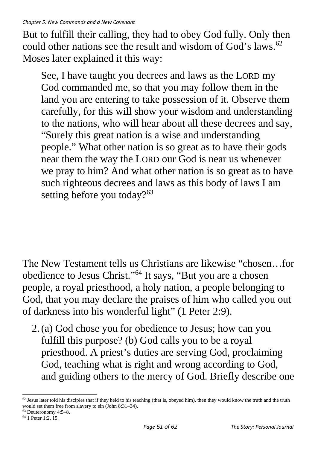But to fulfill their calling, they had to obey God fully. Only then could other nations see the result and wisdom of God's laws.<sup>[62](#page-51-0)</sup> Moses later explained it this way:

See, I have taught you decrees and laws as the LORD my God commanded me, so that you may follow them in the land you are entering to take possession of it. Observe them carefully, for this will show your wisdom and understanding to the nations, who will hear about all these decrees and say, "Surely this great nation is a wise and understanding people." What other nation is so great as to have their gods near them the way the LORD our God is near us whenever we pray to him? And what other nation is so great as to have such righteous decrees and laws as this body of laws I am setting before you today?<sup>[63](#page-51-1)</sup>

The New Testament tells us Christians are likewise "chosen…for obedience to Jesus Christ."[64](#page-51-2) It says, "But you are a chosen people, a royal priesthood, a holy nation, a people belonging to God, that you may declare the praises of him who called you out of darkness into his wonderful light" (1 Peter 2:9).

2.(a) God chose you for obedience to Jesus; how can you fulfill this purpose? (b) God calls you to be a royal priesthood. A priest's duties are serving God, proclaiming God, teaching what is right and wrong according to God, and guiding others to the mercy of God. Briefly describe one

<span id="page-51-0"></span> $62$  Jesus later told his disciples that if they held to his teaching (that is, obeyed him), then they would know the truth and the truth would set them free from slavery to sin (John 8:31–34).

<span id="page-51-1"></span> $^{63}$  Deuteronomy 4:5–8.<br><sup>64</sup> 1 Peter 1:2, 15.

<span id="page-51-2"></span>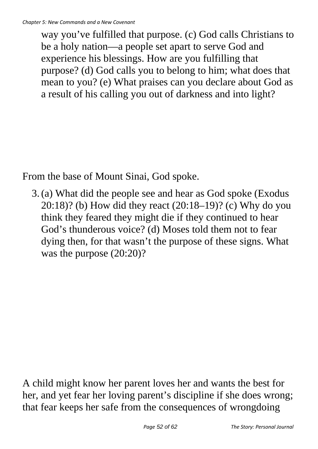way you've fulfilled that purpose. (c) God calls Christians to be a holy nation—a people set apart to serve God and experience his blessings. How are you fulfilling that purpose? (d) God calls you to belong to him; what does that mean to you? (e) What praises can you declare about God as a result of his calling you out of darkness and into light?

From the base of Mount Sinai, God spoke.

3.(a) What did the people see and hear as God spoke (Exodus 20:18)? (b) How did they react (20:18–19)? (c) Why do you think they feared they might die if they continued to hear God's thunderous voice? (d) Moses told them not to fear dying then, for that wasn't the purpose of these signs. What was the purpose (20:20)?

A child might know her parent loves her and wants the best for her, and yet fear her loving parent's discipline if she does wrong; that fear keeps her safe from the consequences of wrongdoing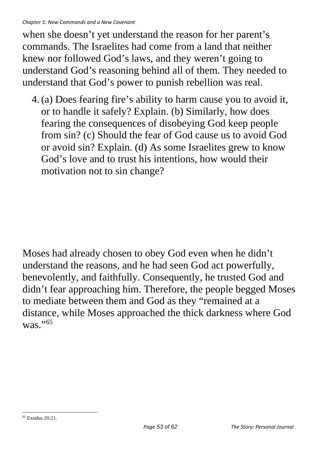when she doesn't yet understand the reason for her parent's commands. The Israelites had come from a land that neither knew nor followed God's laws, and they weren't going to understand God's reasoning behind all of them. They needed to understand that God's power to punish rebellion was real.

4.(a) Does fearing fire's ability to harm cause you to avoid it, or to handle it safely? Explain. (b) Similarly, how does fearing the consequences of disobeying God keep people from sin? (c) Should the fear of God cause us to avoid God or avoid sin? Explain. (d) As some Israelites grew to know God's love and to trust his intentions, how would their motivation not to sin change?

Moses had already chosen to obey God even when he didn't understand the reasons, and he had seen God act powerfully, benevolently, and faithfully. Consequently, he trusted God and didn't fear approaching him. Therefore, the people begged Moses to mediate between them and God as they "remained at a distance, while Moses approached the thick darkness where God was."<sup>[65](#page-53-0)</sup>

<span id="page-53-0"></span><sup>65</sup> Exodus 20:21.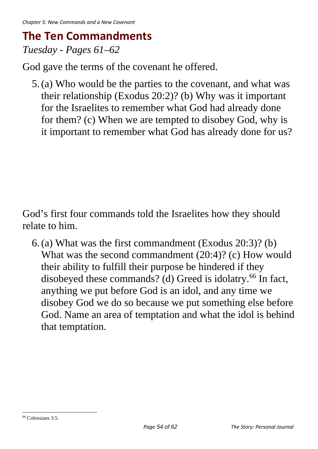#### **The Ten Commandments** *Tuesday - Pages 61–62*

God gave the terms of the covenant he offered.

5.(a) Who would be the parties to the covenant, and what was their relationship (Exodus 20:2)? (b) Why was it important for the Israelites to remember what God had already done for them? (c) When we are tempted to disobey God, why is it important to remember what God has already done for us?

God's first four commands told the Israelites how they should relate to him.

<span id="page-54-0"></span>6.(a) What was the first commandment (Exodus 20:3)? (b) What was the second commandment (20:4)? (c) How would their ability to fulfill their purpose be hindered if they disobeyed these commands? (d) Greed is idolatry.<sup>[66](#page-54-0)</sup> In fact, anything we put before God is an idol, and any time we disobey God we do so because we put something else before God. Name an area of temptation and what the idol is behind that temptation.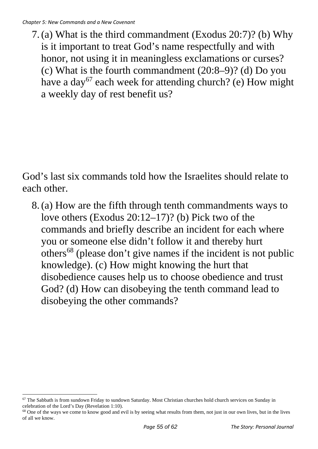7.(a) What is the third commandment (Exodus 20:7)? (b) Why is it important to treat God's name respectfully and with honor, not using it in meaningless exclamations or curses? (c) What is the fourth commandment (20:8–9)? (d) Do you have a day<sup>[67](#page-55-0)</sup> each week for attending church? (e) How might a weekly day of rest benefit us?

God's last six commands told how the Israelites should relate to each other.

8.(a) How are the fifth through tenth commandments ways to love others (Exodus 20:12–17)? (b) Pick two of the commands and briefly describe an incident for each where you or someone else didn't follow it and thereby hurt others<sup>[68](#page-55-1)</sup> (please don't give names if the incident is not public knowledge). (c) How might knowing the hurt that disobedience causes help us to choose obedience and trust God? (d) How can disobeying the tenth command lead to disobeying the other commands?

<span id="page-55-0"></span><sup>&</sup>lt;sup>67</sup> The Sabbath is from sundown Friday to sundown Saturday. Most Christian churches hold church services on Sunday in celebration of the Lord's Day (Revelation 1:10).

<span id="page-55-1"></span><sup>&</sup>lt;sup>68</sup> One of the ways we come to know good and evil is by seeing what results from them, not just in our own lives, but in the lives of all we know.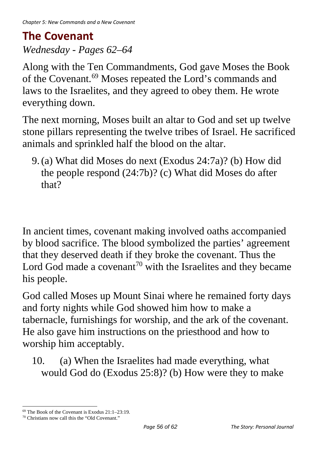#### **The Covenant** *Wednesday - Pages 62–64*

Along with the Ten Commandments, God gave Moses the Book of the Covenant.<sup>[69](#page-56-0)</sup> Moses repeated the Lord's commands and laws to the Israelites, and they agreed to obey them. He wrote everything down.

The next morning, Moses built an altar to God and set up twelve stone pillars representing the twelve tribes of Israel. He sacrificed animals and sprinkled half the blood on the altar.

9.(a) What did Moses do next (Exodus 24:7a)? (b) How did the people respond (24:7b)? (c) What did Moses do after that?

In ancient times, covenant making involved oaths accompanied by blood sacrifice. The blood symbolized the parties' agreement that they deserved death if they broke the covenant. Thus the Lord God made a covenant<sup>[70](#page-56-1)</sup> with the Israelites and they became his people.

God called Moses up Mount Sinai where he remained forty days and forty nights while God showed him how to make a tabernacle, furnishings for worship, and the ark of the covenant. He also gave him instructions on the priesthood and how to worship him acceptably.

10. (a) When the Israelites had made everything, what would God do (Exodus 25:8)? (b) How were they to make

<span id="page-56-0"></span><sup>69</sup> The Book of the Covenant is Exodus 21:1–23:19.

<span id="page-56-1"></span><sup>70</sup> Christians now call this the "Old Covenant."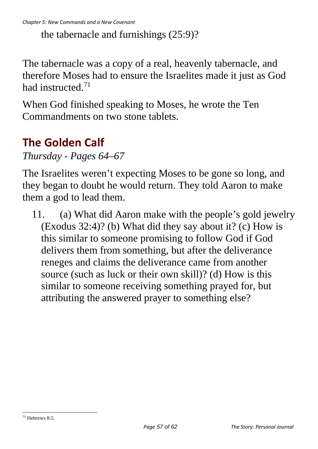the tabernacle and furnishings (25:9)?

The tabernacle was a copy of a real, heavenly tabernacle, and therefore Moses had to ensure the Israelites made it just as God had instructed.<sup>[71](#page-57-0)</sup>

When God finished speaking to Moses, he wrote the Ten Commandments on two stone tablets.

#### **The Golden Calf**

*Thursday - Pages 64–67*

The Israelites weren't expecting Moses to be gone so long, and they began to doubt he would return. They told Aaron to make them a god to lead them.

11. (a) What did Aaron make with the people's gold jewelry (Exodus 32:4)? (b) What did they say about it? (c) How is this similar to someone promising to follow God if God delivers them from something, but after the deliverance reneges and claims the deliverance came from another source (such as luck or their own skill)? (d) How is this similar to someone receiving something prayed for, but attributing the answered prayer to something else?

<span id="page-57-0"></span> $71$  Hebrews 8:5.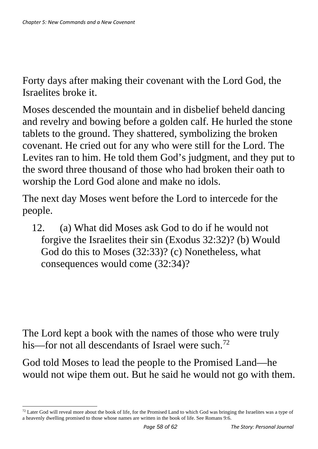Forty days after making their covenant with the Lord God, the Israelites broke it.

Moses descended the mountain and in disbelief beheld dancing and revelry and bowing before a golden calf. He hurled the stone tablets to the ground. They shattered, symbolizing the broken covenant. He cried out for any who were still for the Lord. The Levites ran to him. He told them God's judgment, and they put to the sword three thousand of those who had broken their oath to worship the Lord God alone and make no idols.

The next day Moses went before the Lord to intercede for the people.

12. (a) What did Moses ask God to do if he would not forgive the Israelites their sin (Exodus 32:32)? (b) Would God do this to Moses (32:33)? (c) Nonetheless, what consequences would come (32:34)?

The Lord kept a book with the names of those who were truly his—for not all descendants of Israel were such.<sup>[72](#page-58-0)</sup>

God told Moses to lead the people to the Promised Land—he would not wipe them out. But he said he would not go with them.

<span id="page-58-0"></span> $72$  Later God will reveal more about the book of life, for the Promised Land to which God was bringing the Israelites was a type of a heavenly dwelling promised to those whose names are written in the book of life. See Romans 9:6.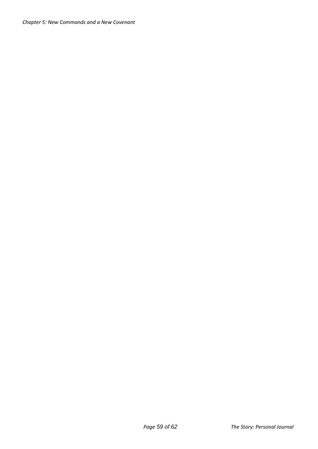*Chapter 5: New Commands and a New Covenant*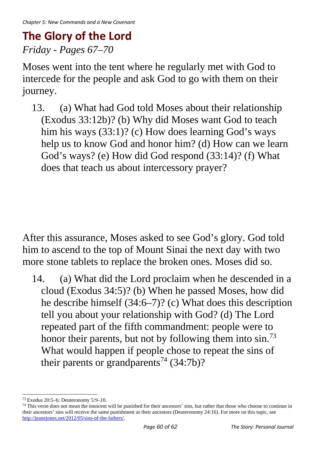#### **The Glory of the Lord** *Friday - Pages 67–70*

Moses went into the tent where he regularly met with God to intercede for the people and ask God to go with them on their journey.

13. (a) What had God told Moses about their relationship (Exodus 33:12b)? (b) Why did Moses want God to teach him his ways (33:1)? (c) How does learning God's ways help us to know God and honor him? (d) How can we learn God's ways? (e) How did God respond (33:14)? (f) What does that teach us about intercessory prayer?

After this assurance, Moses asked to see God's glory. God told him to ascend to the top of Mount Sinai the next day with two more stone tablets to replace the broken ones. Moses did so.

14. (a) What did the Lord proclaim when he descended in a cloud (Exodus 34:5)? (b) When he passed Moses, how did he describe himself (34:6–7)? (c) What does this description tell you about your relationship with God? (d) The Lord repeated part of the fifth commandment: people were to honor their parents, but not by following them into sin.<sup>[73](#page-60-0)</sup> What would happen if people chose to repeat the sins of their parents or grandparents<sup>[74](#page-60-1)</sup> (34:7b)?

<span id="page-60-0"></span><sup>73</sup> Exodus 20:5–6; Deuteronomy 5:9–10.

<span id="page-60-1"></span><sup>&</sup>lt;sup>74</sup> This verse does not mean the innocent will be punished for their ancestors' sins, but rather that those who choose to continue in their ancestors' sins will receive the same punishment as their ancestors (Deuteronomy 24:16). For more on this topic, see [http://jeanejones.net/2012/05/sins-of-the-fathers/.](http://jeanejones.net/2012/05/sins-of-the-fathers/)